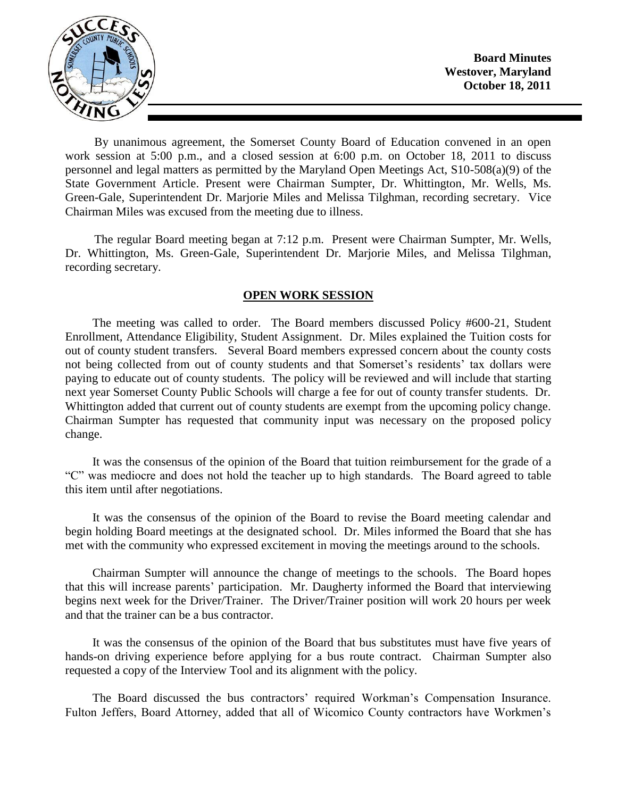

**Board Minutes Westover, Maryland October 18, 2011**

By unanimous agreement, the Somerset County Board of Education convened in an open work session at 5:00 p.m., and a closed session at 6:00 p.m. on October 18, 2011 to discuss personnel and legal matters as permitted by the Maryland Open Meetings Act, S10-508(a)(9) of the State Government Article. Present were Chairman Sumpter, Dr. Whittington, Mr. Wells, Ms. Green-Gale, Superintendent Dr. Marjorie Miles and Melissa Tilghman, recording secretary. Vice Chairman Miles was excused from the meeting due to illness.

The regular Board meeting began at 7:12 p.m. Present were Chairman Sumpter, Mr. Wells, Dr. Whittington, Ms. Green-Gale, Superintendent Dr. Marjorie Miles, and Melissa Tilghman, recording secretary.

## **OPEN WORK SESSION**

The meeting was called to order. The Board members discussed Policy #600-21, Student Enrollment, Attendance Eligibility, Student Assignment. Dr. Miles explained the Tuition costs for out of county student transfers. Several Board members expressed concern about the county costs not being collected from out of county students and that Somerset's residents' tax dollars were paying to educate out of county students. The policy will be reviewed and will include that starting next year Somerset County Public Schools will charge a fee for out of county transfer students. Dr. Whittington added that current out of county students are exempt from the upcoming policy change. Chairman Sumpter has requested that community input was necessary on the proposed policy change.

It was the consensus of the opinion of the Board that tuition reimbursement for the grade of a "C" was mediocre and does not hold the teacher up to high standards. The Board agreed to table this item until after negotiations.

It was the consensus of the opinion of the Board to revise the Board meeting calendar and begin holding Board meetings at the designated school. Dr. Miles informed the Board that she has met with the community who expressed excitement in moving the meetings around to the schools.

Chairman Sumpter will announce the change of meetings to the schools. The Board hopes that this will increase parents' participation. Mr. Daugherty informed the Board that interviewing begins next week for the Driver/Trainer. The Driver/Trainer position will work 20 hours per week and that the trainer can be a bus contractor.

It was the consensus of the opinion of the Board that bus substitutes must have five years of hands-on driving experience before applying for a bus route contract. Chairman Sumpter also requested a copy of the Interview Tool and its alignment with the policy.

The Board discussed the bus contractors' required Workman's Compensation Insurance. Fulton Jeffers, Board Attorney, added that all of Wicomico County contractors have Workmen's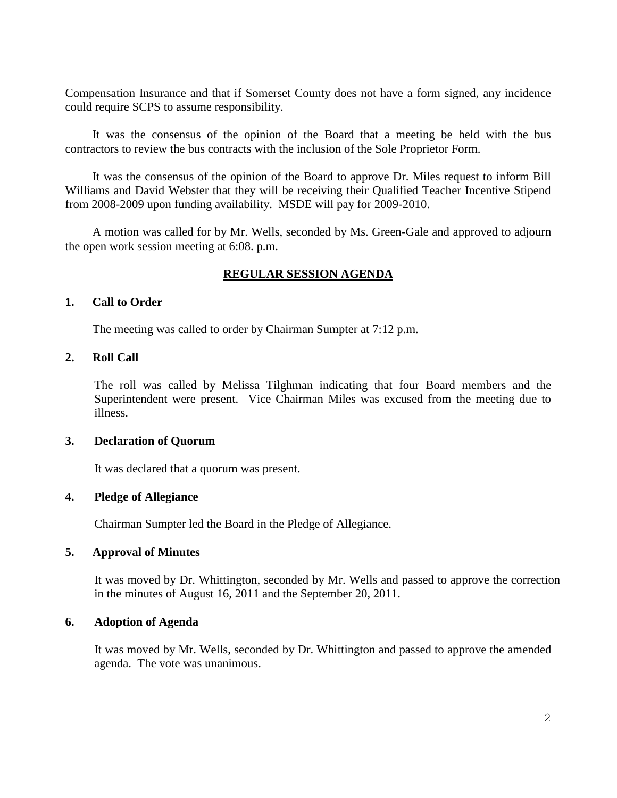Compensation Insurance and that if Somerset County does not have a form signed, any incidence could require SCPS to assume responsibility.

It was the consensus of the opinion of the Board that a meeting be held with the bus contractors to review the bus contracts with the inclusion of the Sole Proprietor Form.

It was the consensus of the opinion of the Board to approve Dr. Miles request to inform Bill Williams and David Webster that they will be receiving their Qualified Teacher Incentive Stipend from 2008-2009 upon funding availability. MSDE will pay for 2009-2010.

A motion was called for by Mr. Wells, seconded by Ms. Green-Gale and approved to adjourn the open work session meeting at 6:08. p.m.

# **REGULAR SESSION AGENDA**

### **1. Call to Order**

The meeting was called to order by Chairman Sumpter at 7:12 p.m.

## **2. Roll Call**

The roll was called by Melissa Tilghman indicating that four Board members and the Superintendent were present. Vice Chairman Miles was excused from the meeting due to illness.

### **3. Declaration of Quorum**

It was declared that a quorum was present.

## **4. Pledge of Allegiance**

Chairman Sumpter led the Board in the Pledge of Allegiance.

## **5. Approval of Minutes**

It was moved by Dr. Whittington, seconded by Mr. Wells and passed to approve the correction in the minutes of August 16, 2011 and the September 20, 2011.

### **6. Adoption of Agenda**

It was moved by Mr. Wells, seconded by Dr. Whittington and passed to approve the amended agenda. The vote was unanimous.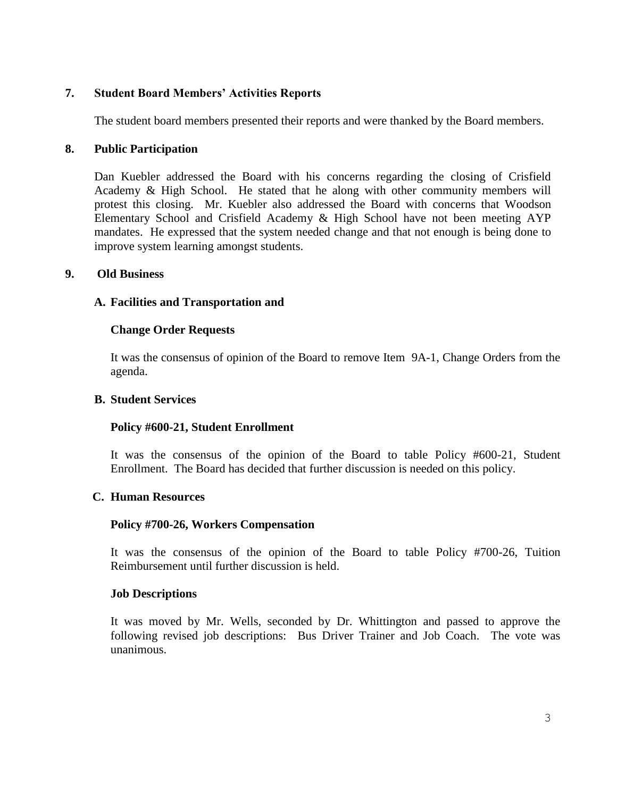# **7. Student Board Members' Activities Reports**

The student board members presented their reports and were thanked by the Board members.

## **8. Public Participation**

Dan Kuebler addressed the Board with his concerns regarding the closing of Crisfield Academy & High School. He stated that he along with other community members will protest this closing. Mr. Kuebler also addressed the Board with concerns that Woodson Elementary School and Crisfield Academy & High School have not been meeting AYP mandates. He expressed that the system needed change and that not enough is being done to improve system learning amongst students.

### **9. Old Business**

## **A. Facilities and Transportation and**

### **Change Order Requests**

It was the consensus of opinion of the Board to remove Item 9A-1, Change Orders from the agenda.

#### **B. Student Services**

## **Policy #600-21, Student Enrollment**

It was the consensus of the opinion of the Board to table Policy #600-21, Student Enrollment. The Board has decided that further discussion is needed on this policy.

#### **C. Human Resources**

## **Policy #700-26, Workers Compensation**

It was the consensus of the opinion of the Board to table Policy #700-26, Tuition Reimbursement until further discussion is held.

#### **Job Descriptions**

It was moved by Mr. Wells, seconded by Dr. Whittington and passed to approve the following revised job descriptions: Bus Driver Trainer and Job Coach. The vote was unanimous.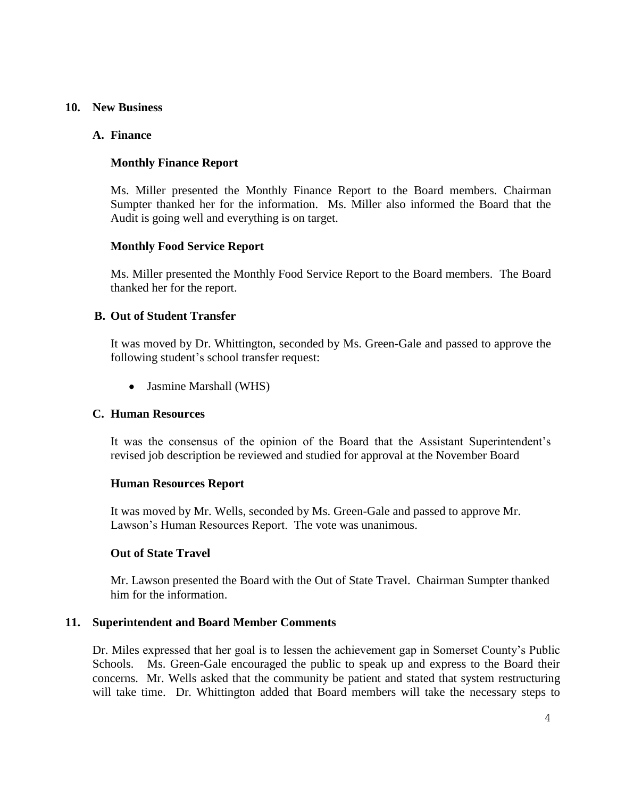#### **10. New Business**

### **A. Finance**

## **Monthly Finance Report**

Ms. Miller presented the Monthly Finance Report to the Board members. Chairman Sumpter thanked her for the information. Ms. Miller also informed the Board that the Audit is going well and everything is on target.

### **Monthly Food Service Report**

Ms. Miller presented the Monthly Food Service Report to the Board members. The Board thanked her for the report.

### **B. Out of Student Transfer**

It was moved by Dr. Whittington, seconded by Ms. Green-Gale and passed to approve the following student's school transfer request:

• Jasmine Marshall (WHS)

#### **C. Human Resources**

It was the consensus of the opinion of the Board that the Assistant Superintendent's revised job description be reviewed and studied for approval at the November Board

#### **Human Resources Report**

It was moved by Mr. Wells, seconded by Ms. Green-Gale and passed to approve Mr. Lawson's Human Resources Report. The vote was unanimous.

#### **Out of State Travel**

Mr. Lawson presented the Board with the Out of State Travel. Chairman Sumpter thanked him for the information.

#### **11. Superintendent and Board Member Comments**

Dr. Miles expressed that her goal is to lessen the achievement gap in Somerset County's Public Schools. Ms. Green-Gale encouraged the public to speak up and express to the Board their concerns. Mr. Wells asked that the community be patient and stated that system restructuring will take time. Dr. Whittington added that Board members will take the necessary steps to